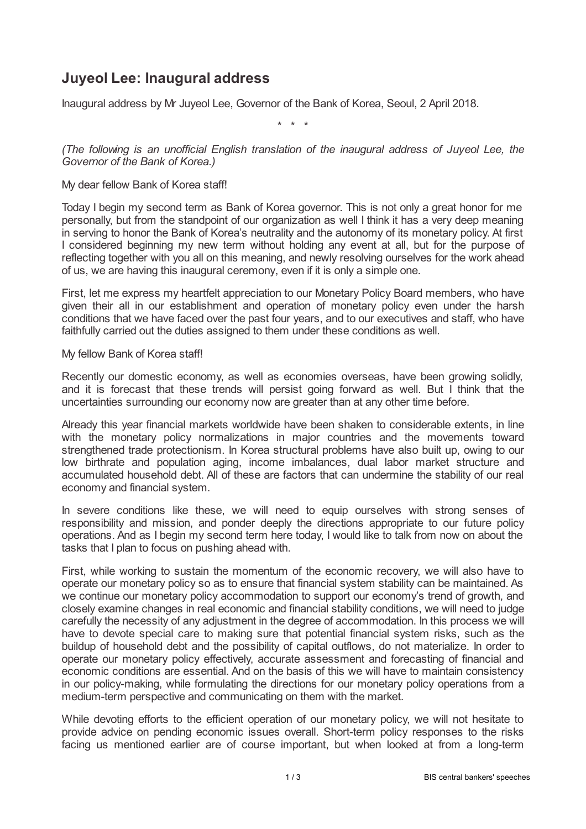# **Juyeol Lee: Inaugural address**

Inaugural address by Mr Juyeol Lee, Governor of the Bank of Korea, Seoul, 2 April 2018.

\* \* \*

*(The following is an unofficial English translation of the inaugural address of Juyeol Lee, the Governor of the Bank of Korea.)*

### My dear fellow Bank of Korea staff!

Today I begin my second term as Bank of Korea governor. This is not only a great honor for me personally, but from the standpoint of our organization as well I think it has a very deep meaning in serving to honor the Bank of Korea's neutrality and the autonomy of its monetary policy. At first I considered beginning my new term without holding any event at all, but for the purpose of reflecting together with you all on this meaning, and newly resolving ourselves for the work ahead of us, we are having this inaugural ceremony, even if it is only a simple one.

First, let me express my heartfelt appreciation to our Monetary Policy Board members, who have given their all in our establishment and operation of monetary policy even under the harsh conditions that we have faced over the past four years, and to our executives and staff, who have faithfully carried out the duties assigned to them under these conditions as well.

#### My fellow Bank of Korea staff!

Recently our domestic economy, as well as economies overseas, have been growing solidly, and it is forecast that these trends will persist going forward as well. But I think that the uncertainties surrounding our economy now are greater than at any other time before.

Already this year financial markets worldwide have been shaken to considerable extents, in line with the monetary policy normalizations in major countries and the movements toward strengthened trade protectionism. In Korea structural problems have also built up, owing to our low birthrate and population aging, income imbalances, dual labor market structure and accumulated household debt. All of these are factors that can undermine the stability of our real economy and financial system.

In severe conditions like these, we will need to equip ourselves with strong senses of responsibility and mission, and ponder deeply the directions appropriate to our future policy operations. And as I begin my second term here today, I would like to talk from now on about the tasks that I plan to focus on pushing ahead with.

First, while working to sustain the momentum of the economic recovery, we will also have to operate our monetary policy so as to ensure that financial system stability can be maintained. As we continue our monetary policy accommodation to support our economy's trend of growth, and closely examine changes in real economic and financial stability conditions, we will need to judge carefully the necessity of any adjustment in the degree of accommodation. In this process we will have to devote special care to making sure that potential financial system risks, such as the buildup of household debt and the possibility of capital outflows, do not materialize. In order to operate our monetary policy effectively, accurate assessment and forecasting of financial and economic conditions are essential. And on the basis of this we will have to maintain consistency in our policy-making, while formulating the directions for our monetary policy operations from a medium-term perspective and communicating on them with the market.

While devoting efforts to the efficient operation of our monetary policy, we will not hesitate to provide advice on pending economic issues overall. Short-term policy responses to the risks facing us mentioned earlier are of course important, but when looked at from a long-term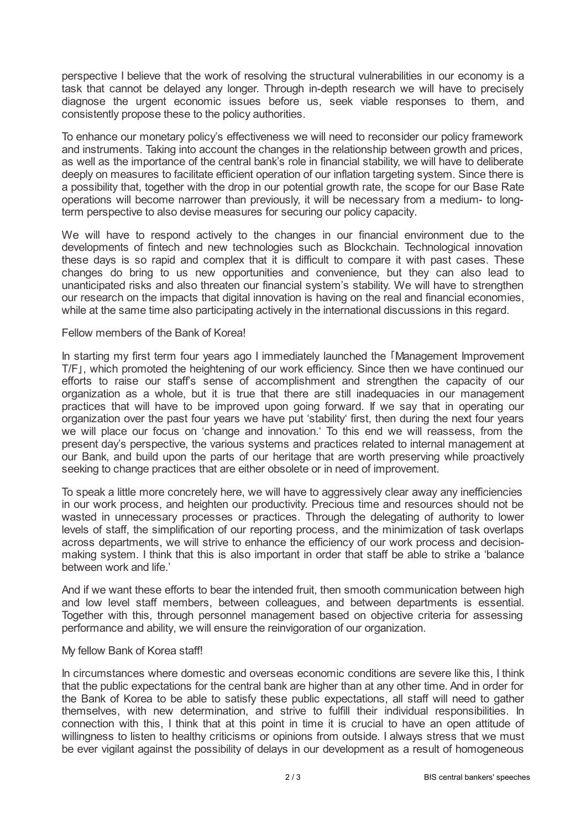perspective I believe that the work of resolving the structural vulnerabilities in our economy is a task that cannot be delayed any longer. Through in-depth research we will have to precisely diagnose the urgent economic issues before us, seek viable responses to them, and consistently propose these to the policy authorities.

To enhance our monetary policy's effectiveness we will need to reconsider our policy framework and instruments. Taking into account the changes in the relationship between growth and prices, as well as the importance of the central bank's role in financial stability, we will have to deliberate deeply on measures to facilitate efficient operation of our inflation targeting system. Since there is a possibility that, together with the drop in our potential growth rate, the scope for our Base Rate operations will become narrower than previously, it will be necessary from a medium- to longterm perspective to also devise measures for securing our policy capacity.

We will have to respond actively to the changes in our financial environment due to the developments of fintech and new technologies such as Blockchain. Technological innovation these days is so rapid and complex that it is difficult to compare it with past cases. These changes do bring to us new opportunities and convenience, but they can also lead to unanticipated risks and also threaten our financial system's stability. We will have to strengthen our research on the impacts that digital innovation is having on the real and financial economies, while at the same time also participating actively in the international discussions in this regard.

#### Fellow members of the Bank of Korea!

In starting my first term four years ago I immediately launched the 「Management Improvement T/F」, which promoted the heightening of our work efficiency. Since then we have continued our efforts to raise our staff's sense of accomplishment and strengthen the capacity of our organization as a whole, but it is true that there are still inadequacies in our management practices that will have to be improved upon going forward. If we say that in operating our organization over the past four years we have put 'stability' first, then during the next four years we will place our focus on 'change and innovation.' To this end we will reassess, from the present day's perspective, the various systems and practices related to internal management at our Bank, and build upon the parts of our heritage that are worth preserving while proactively seeking to change practices that are either obsolete or in need of improvement.

To speak a little more concretely here, we will have to aggressively clear away any inefficiencies in our work process, and heighten our productivity. Precious time and resources should not be wasted in unnecessary processes or practices. Through the delegating of authority to lower levels of staff, the simplification of our reporting process, and the minimization of task overlaps across departments, we will strive to enhance the efficiency of our work process and decisionmaking system. I think that this is also important in order that staff be able to strike a 'balance between work and life.'

And if we want these efforts to bear the intended fruit, then smooth communication between high and low level staff members, between colleagues, and between departments is essential. Together with this, through personnel management based on objective criteria for assessing performance and ability, we will ensure the reinvigoration of our organization.

## My fellow Bank of Korea staff!

In circumstances where domestic and overseas economic conditions are severe like this, I think that the public expectations for the central bank are higher than at any other time. And in order for the Bank of Korea to be able to satisfy these public expectations, all staff will need to gather themselves, with new determination, and strive to fulfill their individual responsibilities. In connection with this, I think that at this point in time it is crucial to have an open attitude of willingness to listen to healthy criticisms or opinions from outside. I always stress that we must be ever vigilant against the possibility of delays in our development as a result of homogeneous